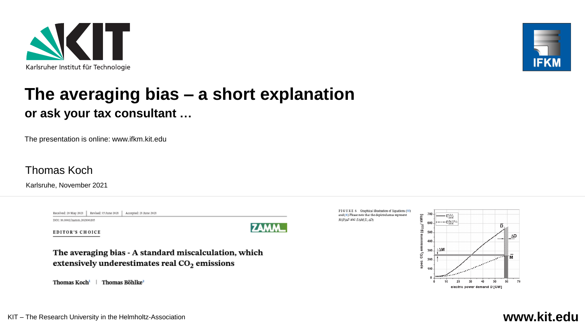



## **The averaging bias – a short explanation or ask your tax consultant …**

The presentation is online: www.ifkm.kit.edu

Thomas Koch

Karlsruhe, November 2021

|                             | Received: 28 May 2021   Revised: 15 June 2021   Accepted: 21 June 2021 |  |
|-----------------------------|------------------------------------------------------------------------|--|
| DOI: 10.1002/zamm.202100205 |                                                                        |  |

EDITOR'S CHOICE



The averaging bias - A standard miscalculation, which extensively underestimates real CO<sub>2</sub> emissions

Thomas Koch<sup>i</sup>  $\mathbf{I}$ Thomas Böhlke<sup>2</sup> FIGURE 6 Graphical illustration of Equations (50) and (51) Please note that the depicted areas represent M(D)ΔD and DΔM(D, ΔD)



### KIT – The Research University in the Helmholtz-Association **www.kit.edu**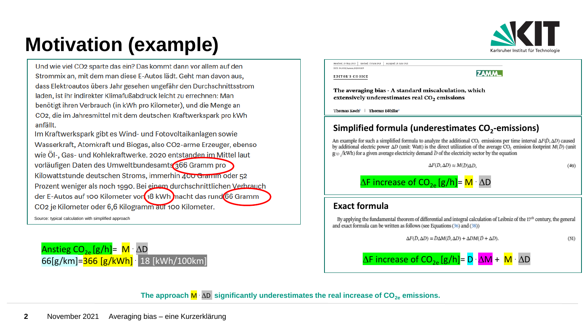

**ZAMM\_** 

# **Motivation (example)**

Und wie viel CO2 sparte das ein? Das kommt dann vor allem auf den Strommix an, mit dem man diese E-Autos lädt. Geht man davon aus, dass Elektroautos übers Jahr gesehen ungefähr den Durchschnittsstrom laden, ist ihr indirekter Klimafußabdruck leicht zu errechnen: Man benötigt ihren Verbrauch (in kWh pro Kilometer), und die Menge an CO2, die im Jahresmittel mit dem deutschen Kraftwerkspark pro kWh anfällt.

Im Kraftwerkspark gibt es Wind- und Fotovoltaikanlagen sowie Wasserkraft, Atomkraft und Biogas, also CO2-arme Erzeuger, ebenso wie Öl-, Gas- und Kohlekraftwerke. 2020 entstanden im Mittel laut vorläufigen Daten des Umweltbundesamts 366 Gramm pro Kilowattstunde deutschen Stroms, immerhin 400 Gramm oder 52 Prozent weniger als noch 1990. Bei einem durchschnittlichen Verbrauch der E-Autos auf 100 Kilometer vor 18 kWh macht das rund 66 Gramm CO<sub>2</sub> je Kilometer oder 6,6 Kilogramm auf 100 Kilometer.

Source: typical calculation with simplified approach





**EDITOR'S CHOICE** 

The averaging bias - A standard miscalculation, which extensively underestimates real CO<sub>2</sub> emissions

Thomas Koch<sup>1</sup> | Thomas Böhlke<sup>2</sup>

### **Simplified formula (underestimates CO<sup>2</sup> -emissions)**

An example for such a simplified formula to analyze the additional CO<sub>2</sub> emissions per time interval  $\Delta F(\bar{D}, \Delta D)$  caused by additional electric power  $\Delta D$  (unit: Watt) is the direct utilization of the average CO<sub>2</sub> emission footprint  $M(D)$  (unit  $g_{CO}$  /kWh) for a given average electricity demand  $\bar{D}$  of the electricity sector by the equation

 $\Delta F(D, \Delta D) \approx M(D) \Delta D$ ,

 $(49)$ 

 $\Delta F$  increase of  $CO_{2e}$  [g/h]= M  $\Delta D$ 

### **Exact formula**

By applying the fundamental theorem of differential and integral calculation of Leibniz of the  $17<sup>th</sup>$  century, the general and exact formula can be written as follows (see Equations (36) and (38))

 $\Delta F(D, \Delta D) = D \Delta M(D, \Delta D) + \Delta D M(D + \Delta D).$ 

 $(51)$ 

 $\Delta$ F increase of CO<sub>2e</sub> [g/h]= D  $\Delta$ M + M  $\Delta$ D

The approach  $\overline{M}$   $\Delta D$  significantly underestimates the real increase of  $CO<sub>2e</sub>$  emissions.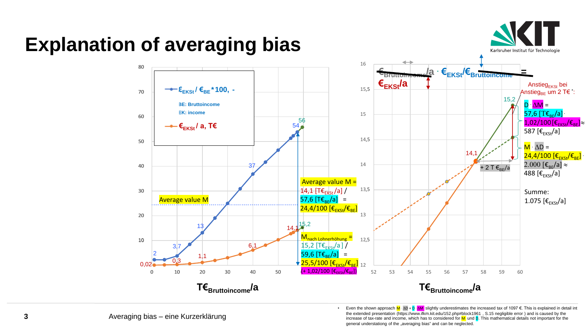

### • Even the shown approach M · ∆D + D · ∆M slightly underestimates the increased tax of 1097 €. This is explained in detail int the extended presentation (https://www.ifkm.kit.edu/152.php#block1961 , S.15 negligible error ) and is caused by the increase of tax-rate and income, which has to considered for  $M$  und  $D$ . This mathematical details not important for the general understationg of the "averaging bias" and can be neglected.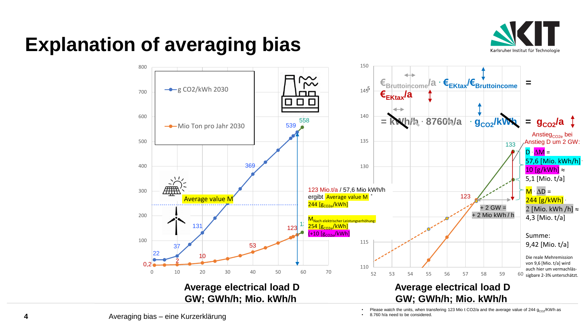

## **Explanation of averaging bias**



Averaging bias – eine Kurzerklärung

Please watch the units, when transfering 123 Mio t CO2/a and the average value of 244  $g_{CO2}/KWh$  as

• 8.760 h/a need to be considered.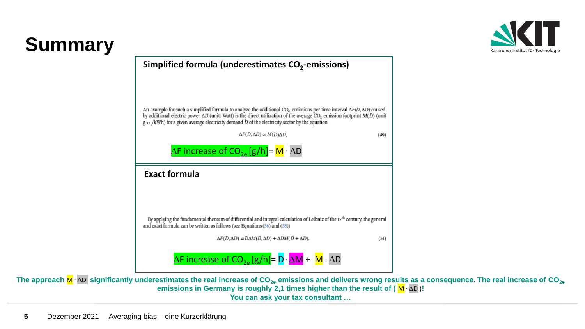## **Summary**





The approach  $M \Delta D$  significantly underestimates the real increase of  $CO_{2e}$  emissions and delivers wrong results as a consequence. The real increase of  $CO_{2e}$ emissions in Germany is roughly 2,1 times higher than the result of  $(M \Delta D)$ ! **You can ask your tax consultant …**